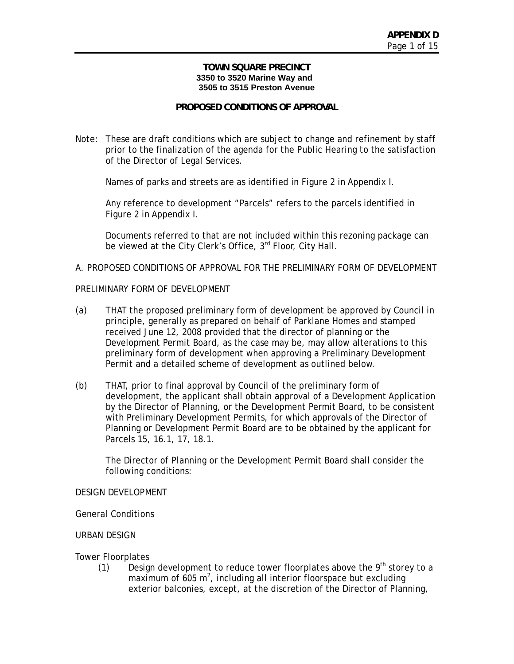#### **TOWN SQUARE PRECINCT 3350 to 3520 Marine Way and 3505 to 3515 Preston Avenue**

## **PROPOSED CONDITIONS OF APPROVAL**

Note: These are draft conditions which are subject to change and refinement by staff prior to the finalization of the agenda for the Public Hearing to the satisfaction of the Director of Legal Services.

Names of parks and streets are as identified in Figure 2 in Appendix I.

Any reference to development "Parcels" refers to the parcels identified in Figure 2 in Appendix I.

Documents referred to that are not included within this rezoning package can be viewed at the City Clerk's Office, 3<sup>rd</sup> Floor, City Hall.

### A. PROPOSED CONDITIONS OF APPROVAL FOR THE PRELIMINARY FORM OF DEVELOPMENT

#### PRELIMINARY FORM OF DEVELOPMENT

- (a) THAT the proposed preliminary form of development be approved by Council in principle, generally as prepared on behalf of Parklane Homes and stamped received June 12, 2008 provided that the director of planning or the Development Permit Board, as the case may be, may allow alterations to this preliminary form of development when approving a Preliminary Development Permit and a detailed scheme of development as outlined below.
- (b) THAT, prior to final approval by Council of the preliminary form of development, the applicant shall obtain approval of a Development Application by the Director of Planning, or the Development Permit Board, to be consistent with Preliminary Development Permits, for which approvals of the Director of Planning or Development Permit Board are to be obtained by the applicant for Parcels 15, 16.1, 17, 18.1.

The Director of Planning or the Development Permit Board shall consider the following conditions:

#### DESIGN DEVELOPMENT

General Conditions

#### URBAN DESIGN

Tower Floorplates

(1) Design development to reduce tower floorplates above the  $9<sup>th</sup>$  storey to a maximum of 605  $m^2$ , including all interior floorspace but excluding exterior balconies, except, at the discretion of the Director of Planning,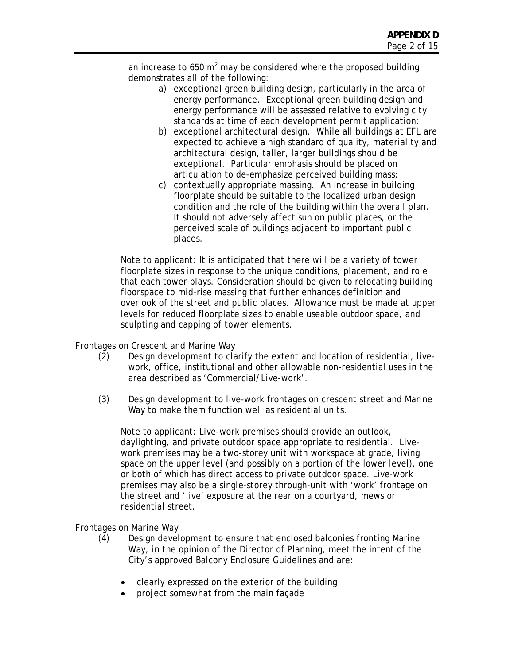an increase to 650 m<sup>2</sup> may be considered where the proposed building demonstrates all of the following:

- a) exceptional green building design, particularly in the area of energy performance. Exceptional green building design and energy performance will be assessed relative to evolving city standards at time of each development permit application;
- b) exceptional architectural design. While all buildings at EFL are expected to achieve a high standard of quality, materiality and architectural design, taller, larger buildings should be exceptional. Particular emphasis should be placed on articulation to de-emphasize perceived building mass;
- c) contextually appropriate massing. An increase in building floorplate should be suitable to the localized urban design condition and the role of the building within the overall plan. It should not adversely affect sun on public places, or the perceived scale of buildings adjacent to important public places.

Note to applicant: It is anticipated that there will be a variety of tower floorplate sizes in response to the unique conditions, placement, and role that each tower plays. Consideration should be given to relocating building floorspace to mid-rise massing that further enhances definition and overlook of the street and public places. Allowance must be made at upper levels for reduced floorplate sizes to enable useable outdoor space, and sculpting and capping of tower elements.

Frontages on Crescent and Marine Way

- (2) Design development to clarify the extent and location of residential, livework, office, institutional and other allowable non-residential uses in the area described as 'Commercial/Live-work'.
- (3) Design development to live-work frontages on crescent street and Marine Way to make them function well as residential units.

Note to applicant: Live-work premises should provide an outlook, daylighting, and private outdoor space appropriate to residential. Livework premises may be a two-storey unit with workspace at grade, living space on the upper level (and possibly on a portion of the lower level), one or both of which has direct access to private outdoor space. Live-work premises may also be a single-storey through-unit with 'work' frontage on the street and 'live' exposure at the rear on a courtyard, mews or residential street.

Frontages on Marine Way

- (4) Design development to ensure that enclosed balconies fronting Marine Way, in the opinion of the Director of Planning, meet the intent of the City's approved Balcony Enclosure Guidelines and are:
	- clearly expressed on the exterior of the building
	- project somewhat from the main façade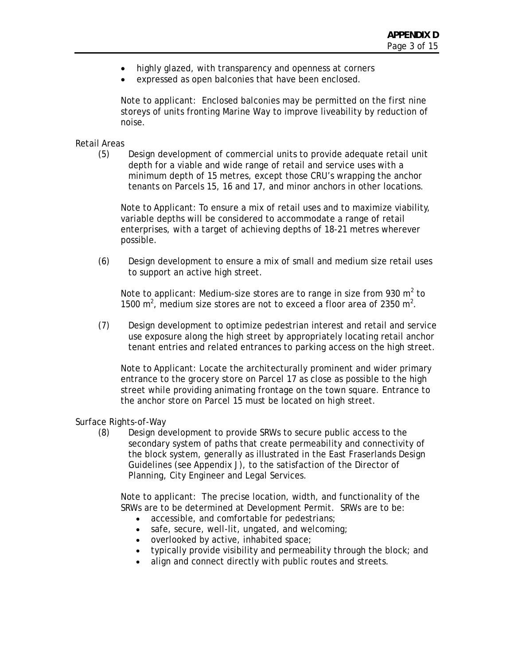- highly glazed, with transparency and openness at corners
- expressed as open balconies that have been enclosed.

Note to applicant: Enclosed balconies may be permitted on the first nine storeys of units fronting Marine Way to improve liveability by reduction of noise.

# Retail Areas

(5) Design development of commercial units to provide adequate retail unit depth for a viable and wide range of retail and service uses with a minimum depth of 15 metres, except those CRU's wrapping the anchor tenants on Parcels 15, 16 and 17, and minor anchors in other locations.

Note to Applicant: To ensure a mix of retail uses and to maximize viability, variable depths will be considered to accommodate a range of retail enterprises, with a target of achieving depths of 18-21 metres wherever possible.

(6) Design development to ensure a mix of small and medium size retail uses to support an active high street.

Note to applicant: Medium-size stores are to range in size from 930  $m^2$  to 1500  $\mathrm{m}^2$ , medium size stores are not to exceed a floor area of 2350  $\mathrm{m}^2$ .

(7) Design development to optimize pedestrian interest and retail and service use exposure along the high street by appropriately locating retail anchor tenant entries and related entrances to parking access on the high street.

Note to Applicant: Locate the architecturally prominent and wider primary entrance to the grocery store on Parcel 17 as close as possible to the high street while providing animating frontage on the town square. Entrance to the anchor store on Parcel 15 must be located on high street.

#### Surface Rights-of-Way

(8) Design development to provide SRWs to secure public access to the secondary system of paths that create permeability and connectivity of the block system, generally as illustrated in the East Fraserlands Design Guidelines (see Appendix J), to the satisfaction of the Director of Planning, City Engineer and Legal Services.

Note to applicant: The precise location, width, and functionality of the SRWs are to be determined at Development Permit. SRWs are to be:

- accessible, and comfortable for pedestrians;
- safe, secure, well-lit, ungated, and welcoming;
- overlooked by active, inhabited space;
- typically provide visibility and permeability through the block; and
- align and connect directly with public routes and streets.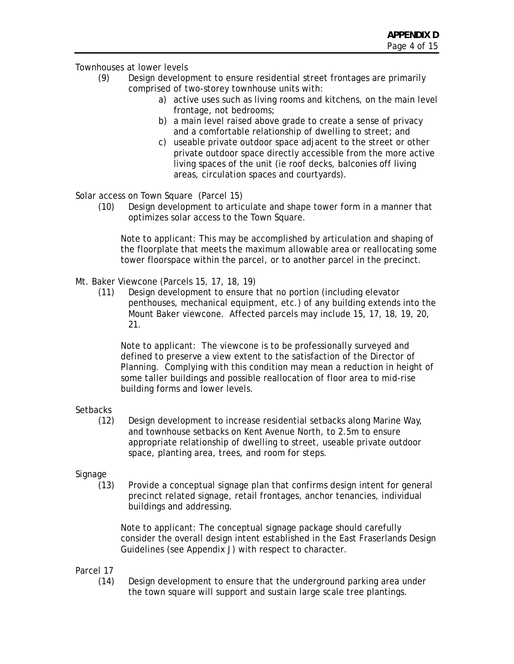# Townhouses at lower levels

- (9) Design development to ensure residential street frontages are primarily comprised of two-storey townhouse units with:
	- a) active uses such as living rooms and kitchens, on the main level frontage, not bedrooms;
	- b) a main level raised above grade to create a sense of privacy and a comfortable relationship of dwelling to street; and
	- c) useable private outdoor space adjacent to the street or other private outdoor space directly accessible from the more active living spaces of the unit (ie roof decks, balconies off living areas, circulation spaces and courtyards).

Solar access on Town Square (Parcel 15)

(10) Design development to articulate and shape tower form in a manner that optimizes solar access to the Town Square.

Note to applicant: This may be accomplished by articulation and shaping of the floorplate that meets the maximum allowable area or reallocating some tower floorspace within the parcel, or to another parcel in the precinct.

- Mt. Baker Viewcone (Parcels 15, 17, 18, 19)
	- (11) Design development to ensure that no portion (including elevator penthouses, mechanical equipment, etc.) of any building extends into the Mount Baker viewcone. Affected parcels may include 15, 17, 18, 19, 20, 21.

Note to applicant: The viewcone is to be professionally surveyed and defined to preserve a view extent to the satisfaction of the Director of Planning. Complying with this condition may mean a reduction in height of some taller buildings and possible reallocation of floor area to mid-rise building forms and lower levels.

# **Setbacks**

(12) Design development to increase residential setbacks along Marine Way, and townhouse setbacks on Kent Avenue North, to 2.5m to ensure appropriate relationship of dwelling to street, useable private outdoor space, planting area, trees, and room for steps.

# Signage

(13) Provide a conceptual signage plan that confirms design intent for general precinct related signage, retail frontages, anchor tenancies, individual buildings and addressing.

Note to applicant: The conceptual signage package should carefully consider the overall design intent established in the East Fraserlands Design Guidelines (see Appendix J) with respect to character.

#### Parcel 17

(14) Design development to ensure that the underground parking area under the town square will support and sustain large scale tree plantings.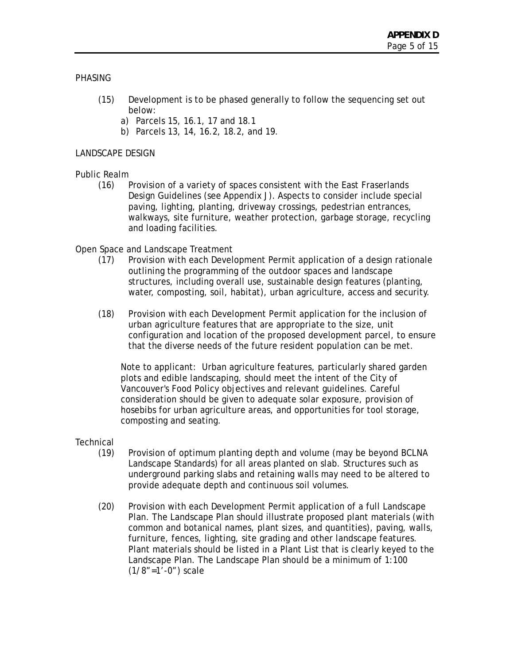#### **PHASING**

- (15) Development is to be phased generally to follow the sequencing set out below:
	- a) Parcels 15, 16.1, 17 and 18.1
	- b) Parcels 13, 14, 16.2, 18.2, and 19.

## LANDSCAPE DESIGN

## Public Realm

(16) Provision of a variety of spaces consistent with the East Fraserlands Design Guidelines (see Appendix J). Aspects to consider include special paving, lighting, planting, driveway crossings, pedestrian entrances, walkways, site furniture, weather protection, garbage storage, recycling and loading facilities.

## Open Space and Landscape Treatment

- (17) Provision with each Development Permit application of a design rationale outlining the programming of the outdoor spaces and landscape structures, including overall use, sustainable design features (planting, water, composting, soil, habitat), urban agriculture, access and security.
- (18) Provision with each Development Permit application for the inclusion of urban agriculture features that are appropriate to the size, unit configuration and location of the proposed development parcel, to ensure that the diverse needs of the future resident population can be met.

Note to applicant: Urban agriculture features, particularly shared garden plots and edible landscaping, should meet the intent of the City of Vancouver's Food Policy objectives and relevant guidelines. Careful consideration should be given to adequate solar exposure, provision of hosebibs for urban agriculture areas, and opportunities for tool storage, composting and seating.

# **Technical**

- (19) Provision of optimum planting depth and volume (may be beyond BCLNA Landscape Standards) for all areas planted on slab. Structures such as underground parking slabs and retaining walls may need to be altered to provide adequate depth and continuous soil volumes.
- (20) Provision with each Development Permit application of a full Landscape Plan. The Landscape Plan should illustrate proposed plant materials (with common and botanical names, plant sizes, and quantities), paving, walls, furniture, fences, lighting, site grading and other landscape features. Plant materials should be listed in a Plant List that is clearly keyed to the Landscape Plan. The Landscape Plan should be a minimum of 1:100 (1/8"=1'-0") scale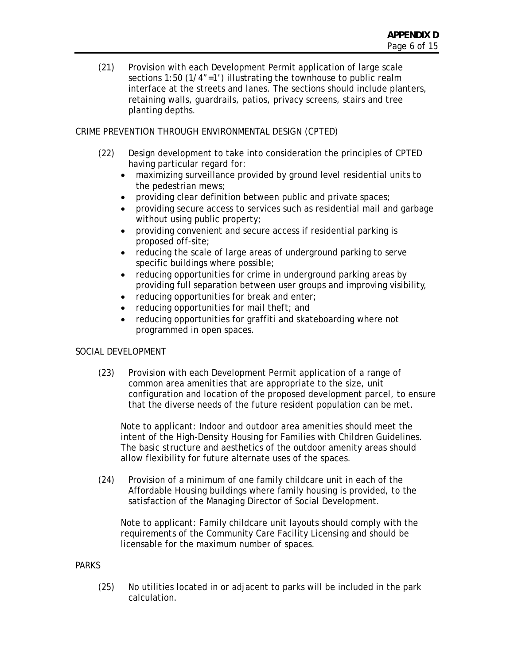(21) Provision with each Development Permit application of large scale sections 1:50 (1/4"=1') illustrating the townhouse to public realm interface at the streets and lanes. The sections should include planters, retaining walls, guardrails, patios, privacy screens, stairs and tree planting depths.

# CRIME PREVENTION THROUGH ENVIRONMENTAL DESIGN (CPTED)

- (22) Design development to take into consideration the principles of CPTED having particular regard for:
	- maximizing surveillance provided by ground level residential units to the pedestrian mews;
	- providing clear definition between public and private spaces;
	- providing secure access to services such as residential mail and garbage without using public property;
	- providing convenient and secure access if residential parking is proposed off-site;
	- reducing the scale of large areas of underground parking to serve specific buildings where possible;
	- reducing opportunities for crime in underground parking areas by providing full separation between user groups and improving visibility,
	- reducing opportunities for break and enter;
	- reducing opportunities for mail theft; and
	- reducing opportunities for graffiti and skateboarding where not programmed in open spaces.

# SOCIAL DEVELOPMENT

(23) Provision with each Development Permit application of a range of common area amenities that are appropriate to the size, unit configuration and location of the proposed development parcel, to ensure that the diverse needs of the future resident population can be met.

Note to applicant: Indoor and outdoor area amenities should meet the intent of the High-Density Housing for Families with Children Guidelines. The basic structure and aesthetics of the outdoor amenity areas should allow flexibility for future alternate uses of the spaces.

(24) Provision of a minimum of one family childcare unit in each of the Affordable Housing buildings where family housing is provided, to the satisfaction of the Managing Director of Social Development.

Note to applicant: Family childcare unit layouts should comply with the requirements of the Community Care Facility Licensing and should be licensable for the maximum number of spaces.

# **PARKS**

(25) No utilities located in or adjacent to parks will be included in the park calculation.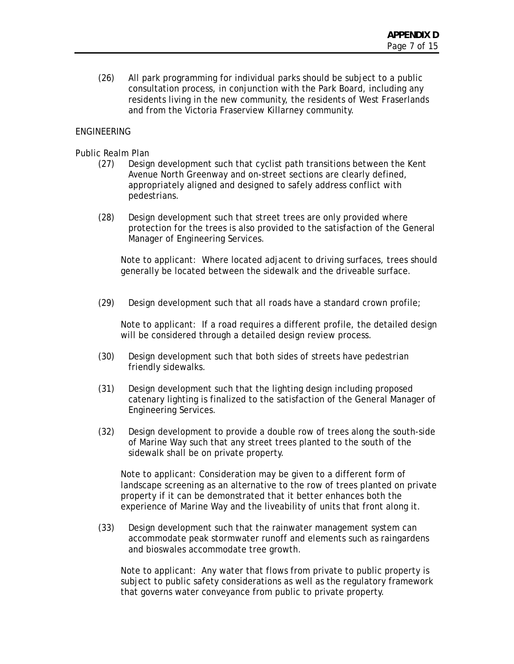(26) All park programming for individual parks should be subject to a public consultation process, in conjunction with the Park Board, including any residents living in the new community, the residents of West Fraserlands and from the Victoria Fraserview Killarney community.

# ENGINEERING

## Public Realm Plan

- (27) Design development such that cyclist path transitions between the Kent Avenue North Greenway and on-street sections are clearly defined, appropriately aligned and designed to safely address conflict with pedestrians.
- (28) Design development such that street trees are only provided where protection for the trees is also provided to the satisfaction of the General Manager of Engineering Services.

Note to applicant: Where located adjacent to driving surfaces, trees should generally be located between the sidewalk and the driveable surface.

(29) Design development such that all roads have a standard crown profile;

Note to applicant: If a road requires a different profile, the detailed design will be considered through a detailed design review process.

- (30) Design development such that both sides of streets have pedestrian friendly sidewalks.
- (31) Design development such that the lighting design including proposed catenary lighting is finalized to the satisfaction of the General Manager of Engineering Services.
- (32) Design development to provide a double row of trees along the south-side of Marine Way such that any street trees planted to the south of the sidewalk shall be on private property.

Note to applicant: Consideration may be given to a different form of landscape screening as an alternative to the row of trees planted on private property if it can be demonstrated that it better enhances both the experience of Marine Way and the liveability of units that front along it.

(33) Design development such that the rainwater management system can accommodate peak stormwater runoff and elements such as raingardens and bioswales accommodate tree growth.

Note to applicant: Any water that flows from private to public property is subject to public safety considerations as well as the regulatory framework that governs water conveyance from public to private property.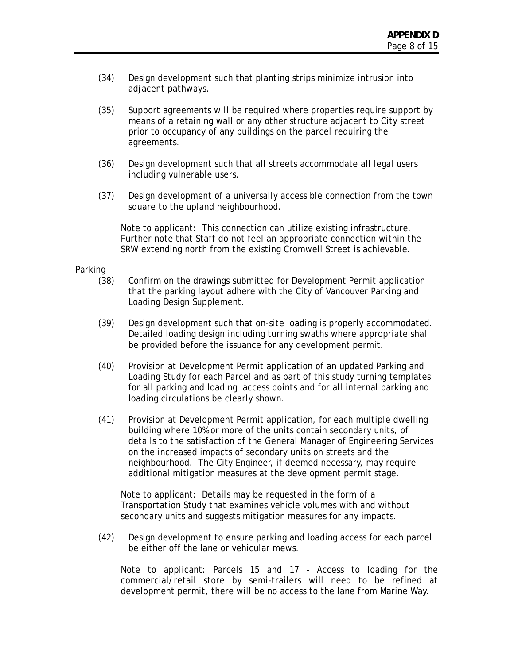- (34) Design development such that planting strips minimize intrusion into adjacent pathways.
- (35) Support agreements will be required where properties require support by means of a retaining wall or any other structure adjacent to City street prior to occupancy of any buildings on the parcel requiring the agreements.
- (36) Design development such that all streets accommodate all legal users including vulnerable users.
- (37) Design development of a universally accessible connection from the town square to the upland neighbourhood.

Note to applicant: This connection can utilize existing infrastructure. Further note that Staff do not feel an appropriate connection within the SRW extending north from the existing Cromwell Street is achievable.

#### Parking

- (38) Confirm on the drawings submitted for Development Permit application that the parking layout adhere with the City of Vancouver Parking and Loading Design Supplement.
- (39) Design development such that on-site loading is properly accommodated. Detailed loading design including turning swaths where appropriate shall be provided before the issuance for any development permit.
- (40) Provision at Development Permit application of an updated Parking and Loading Study for each Parcel and as part of this study turning templates for all parking and loading access points and for all internal parking and loading circulations be clearly shown.
- (41) Provision at Development Permit application, for each multiple dwelling building where 10% or more of the units contain secondary units, of details to the satisfaction of the General Manager of Engineering Services on the increased impacts of secondary units on streets and the neighbourhood. The City Engineer, if deemed necessary, may require additional mitigation measures at the development permit stage.

Note to applicant: Details may be requested in the form of a Transportation Study that examines vehicle volumes with and without secondary units and suggests mitigation measures for any impacts.

(42) Design development to ensure parking and loading access for each parcel be either off the lane or vehicular mews.

Note to applicant: Parcels 15 and 17 - Access to loading for the commercial/retail store by semi-trailers will need to be refined at development permit, there will be no access to the lane from Marine Way.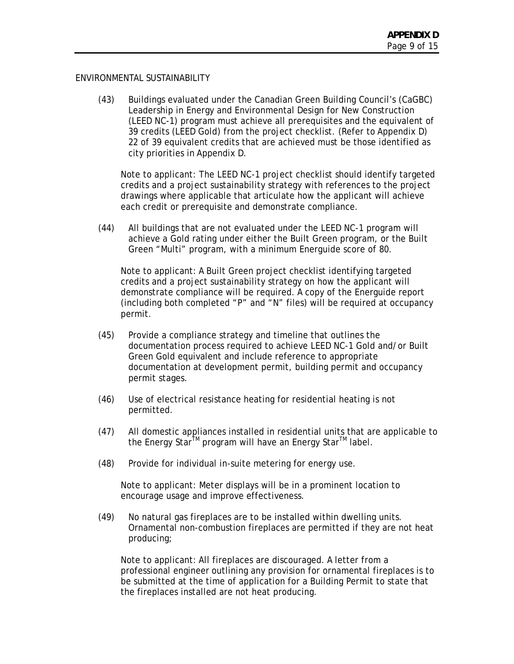#### ENVIRONMENTAL SUSTAINABILITY

(43) Buildings evaluated under the Canadian Green Building Council's (CaGBC) Leadership in Energy and Environmental Design for New Construction (LEED NC-1) program must achieve all prerequisites and the equivalent of 39 credits (LEED Gold) from the project checklist. (Refer to Appendix D) 22 of 39 equivalent credits that are achieved must be those identified as city priorities in Appendix D.

Note to applicant: The LEED NC-1 project checklist should identify targeted credits and a project sustainability strategy with references to the project drawings where applicable that articulate how the applicant will achieve each credit or prerequisite and demonstrate compliance.

(44) All buildings that are not evaluated under the LEED NC-1 program will achieve a Gold rating under either the Built Green program, or the Built Green "Multi" program, with a minimum Energuide score of 80.

Note to applicant: A Built Green project checklist identifying targeted credits and a project sustainability strategy on how the applicant will demonstrate compliance will be required. A copy of the Energuide report (including both completed "P" and "N" files) will be required at occupancy permit.

- (45) Provide a compliance strategy and timeline that outlines the documentation process required to achieve LEED NC-1 Gold and/or Built Green Gold equivalent and include reference to appropriate documentation at development permit, building permit and occupancy permit stages.
- (46) Use of electrical resistance heating for residential heating is not permitted.
- (47) All domestic appliances installed in residential units that are applicable to the Energy Star<sup>™</sup> program will have an Energy Star<sup>™</sup> label.
- (48) Provide for individual in-suite metering for energy use.

Note to applicant: Meter displays will be in a prominent location to encourage usage and improve effectiveness.

(49) No natural gas fireplaces are to be installed within dwelling units. Ornamental non-combustion fireplaces are permitted if they are not heat producing;

Note to applicant: All fireplaces are discouraged. A letter from a professional engineer outlining any provision for ornamental fireplaces is to be submitted at the time of application for a Building Permit to state that the fireplaces installed are not heat producing.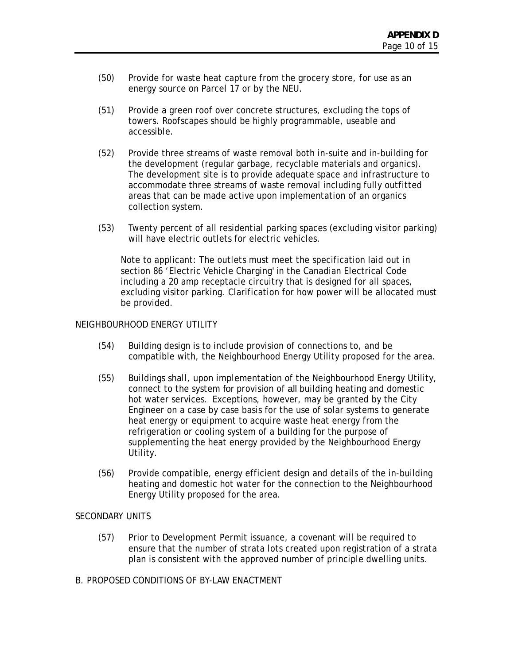- (50) Provide for waste heat capture from the grocery store, for use as an energy source on Parcel 17 or by the NEU.
- (51) Provide a green roof over concrete structures, excluding the tops of towers. Roofscapes should be highly programmable, useable and accessible.
- (52) Provide three streams of waste removal both in-suite and in-building for the development (regular garbage, recyclable materials and organics). The development site is to provide adequate space and infrastructure to accommodate three streams of waste removal including fully outfitted areas that can be made active upon implementation of an organics collection system.
- (53) Twenty percent of all residential parking spaces (excluding visitor parking) will have electric outlets for electric vehicles.

Note to applicant: The outlets must meet the specification laid out in section 86 'Electric Vehicle Charging' in the Canadian Electrical Code including a 20 amp receptacle circuitry that is designed for all spaces, excluding visitor parking. Clarification for how power will be allocated must be provided.

## NEIGHBOURHOOD ENERGY UTILITY

- (54) Building design is to include provision of connections to, and be compatible with, the Neighbourhood Energy Utility proposed for the area.
- (55) Buildings shall, upon implementation of the Neighbourhood Energy Utility, connect to the system for provision of all building heating and domestic hot water services. Exceptions, however, may be granted by the City Engineer on a case by case basis for the use of solar systems to generate heat energy or equipment to acquire waste heat energy from the refrigeration or cooling system of a building for the purpose of supplementing the heat energy provided by the Neighbourhood Energy Utility.
- (56) Provide compatible, energy efficient design and details of the in-building heating and domestic hot water for the connection to the Neighbourhood Energy Utility proposed for the area.

#### SECONDARY UNITS

- (57) Prior to Development Permit issuance, a covenant will be required to ensure that the number of strata lots created upon registration of a strata plan is consistent with the approved number of principle dwelling units.
- B. PROPOSED CONDITIONS OF BY-LAW ENACTMENT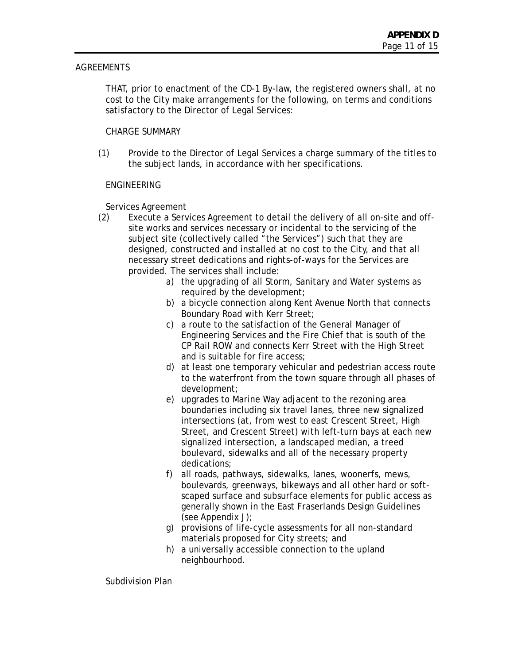# **AGREEMENTS**

 THAT, prior to enactment of the CD-1 By-law, the registered owners shall, at no cost to the City make arrangements for the following, on terms and conditions satisfactory to the Director of Legal Services:

# CHARGE SUMMARY

(1) Provide to the Director of Legal Services a charge summary of the titles to the subject lands, in accordance with her specifications.

# ENGINEERING

Services Agreement

- (2) Execute a Services Agreement to detail the delivery of all on-site and offsite works and services necessary or incidental to the servicing of the subject site (collectively called "the Services") such that they are designed, constructed and installed at no cost to the City, and that all necessary street dedications and rights-of-ways for the Services are provided. The services shall include:
	- a) the upgrading of all Storm, Sanitary and Water systems as required by the development;
	- b) a bicycle connection along Kent Avenue North that connects Boundary Road with Kerr Street;
	- c) a route to the satisfaction of the General Manager of Engineering Services and the Fire Chief that is south of the CP Rail ROW and connects Kerr Street with the High Street and is suitable for fire access;
	- d) at least one temporary vehicular and pedestrian access route to the waterfront from the town square through all phases of development;
	- e) upgrades to Marine Way adjacent to the rezoning area boundaries including six travel lanes, three new signalized intersections (at, from west to east Crescent Street, High Street, and Crescent Street) with left-turn bays at each new signalized intersection, a landscaped median, a treed boulevard, sidewalks and all of the necessary property dedications;
	- f) all roads, pathways, sidewalks, lanes, woonerfs, mews, boulevards, greenways, bikeways and all other hard or softscaped surface and subsurface elements for public access as generally shown in the East Fraserlands Design Guidelines (see Appendix J);
	- g) provisions of life-cycle assessments for all non-standard materials proposed for City streets; and
	- h) a universally accessible connection to the upland neighbourhood.

Subdivision Plan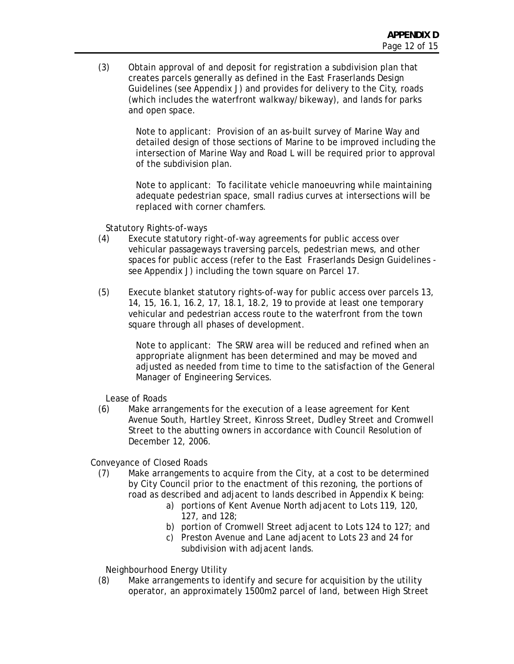(3) Obtain approval of and deposit for registration a subdivision plan that creates parcels generally as defined in the East Fraserlands Design Guidelines (see Appendix J) and provides for delivery to the City, roads (which includes the waterfront walkway/bikeway), and lands for parks and open space.

> Note to applicant: Provision of an as-built survey of Marine Way and detailed design of those sections of Marine to be improved including the intersection of Marine Way and Road L will be required prior to approval of the subdivision plan.

Note to applicant: To facilitate vehicle manoeuvring while maintaining adequate pedestrian space, small radius curves at intersections will be replaced with corner chamfers.

Statutory Rights-of-ways

- (4) Execute statutory right-of-way agreements for public access over vehicular passageways traversing parcels, pedestrian mews, and other spaces for public access (refer to the East Fraserlands Design Guidelines see Appendix J) including the town square on Parcel 17.
- (5) Execute blanket statutory rights-of-way for public access over parcels 13, 14, 15, 16.1, 16.2, 17, 18.1, 18.2, 19 to provide at least one temporary vehicular and pedestrian access route to the waterfront from the town square through all phases of development.

Note to applicant: The SRW area will be reduced and refined when an appropriate alignment has been determined and may be moved and adjusted as needed from time to time to the satisfaction of the General Manager of Engineering Services.

Lease of Roads

(6) Make arrangements for the execution of a lease agreement for Kent Avenue South, Hartley Street, Kinross Street, Dudley Street and Cromwell Street to the abutting owners in accordance with Council Resolution of December 12, 2006.

Conveyance of Closed Roads

- (7) Make arrangements to acquire from the City, at a cost to be determined by City Council prior to the enactment of this rezoning, the portions of road as described and adjacent to lands described in Appendix K being:
	- a) portions of Kent Avenue North adjacent to Lots 119, 120, 127, and 128;
	- b) portion of Cromwell Street adjacent to Lots 124 to 127; and
	- c) Preston Avenue and Lane adjacent to Lots 23 and 24 for subdivision with adjacent lands.

Neighbourhood Energy Utility

(8) Make arrangements to identify and secure for acquisition by the utility operator, an approximately 1500m2 parcel of land, between High Street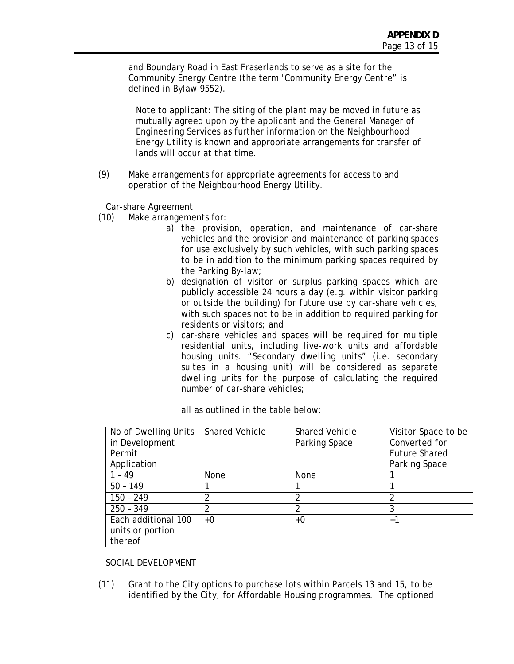and Boundary Road in East Fraserlands to serve as a site for the Community Energy Centre (the term "Community Energy Centre" is defined in Bylaw 9552).

Note to applicant: The siting of the plant may be moved in future as mutually agreed upon by the applicant and the General Manager of Engineering Services as further information on the Neighbourhood Energy Utility is known and appropriate arrangements for transfer of lands will occur at that time.

(9) Make arrangements for appropriate agreements for access to and operation of the Neighbourhood Energy Utility.

Car-share Agreement

- (10) Make arrangements for:
	- a) the provision, operation, and maintenance of car-share vehicles and the provision and maintenance of parking spaces for use exclusively by such vehicles, with such parking spaces to be in addition to the minimum parking spaces required by the Parking By-law;
	- b) designation of visitor or surplus parking spaces which are publicly accessible 24 hours a day (e.g. within visitor parking or outside the building) for future use by car-share vehicles, with such spaces not to be in addition to required parking for residents or visitors; and
	- c) car-share vehicles and spaces will be required for multiple residential units, including live-work units and affordable housing units. "Secondary dwelling units" (i.e. secondary suites in a housing unit) will be considered as separate dwelling units for the purpose of calculating the required number of car-share vehicles;

| No of Dwelling Units | <b>Shared Vehicle</b> | <b>Shared Vehicle</b> | Visitor Space to be  |
|----------------------|-----------------------|-----------------------|----------------------|
| in Development       |                       | Parking Space         | Converted for        |
| Permit               |                       |                       | <b>Future Shared</b> |
| Application          |                       |                       | Parking Space        |
| 1 - 49               | None                  | None                  |                      |
| $50 - 149$           |                       |                       |                      |
| $150 - 249$          |                       |                       |                      |
| $250 - 349$          | ∩                     | ∩                     | 3                    |
| Each additional 100  | +0                    | $+0$                  | $+1$                 |
| units or portion     |                       |                       |                      |
| thereof              |                       |                       |                      |

# SOCIAL DEVELOPMENT

(11) Grant to the City options to purchase lots within Parcels 13 and 15, to be identified by the City, for Affordable Housing programmes. The optioned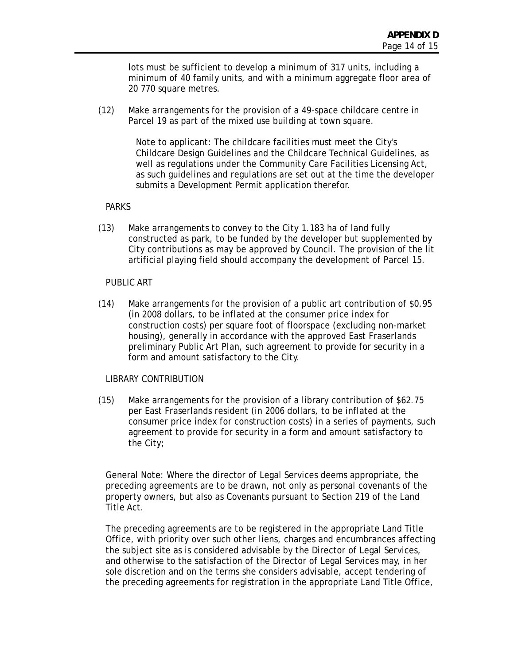lots must be sufficient to develop a minimum of 317 units, including a minimum of 40 family units, and with a minimum aggregate floor area of 20 770 square metres.

(12) Make arrangements for the provision of a 49-space childcare centre in Parcel 19 as part of the mixed use building at town square.

> Note to applicant: The childcare facilities must meet the City's Childcare Design Guidelines and the Childcare Technical Guidelines, as well as regulations under the Community Care Facilities Licensing Act, as such guidelines and regulations are set out at the time the developer submits a Development Permit application therefor.

# PARKS

(13) Make arrangements to convey to the City 1.183 ha of land fully constructed as park, to be funded by the developer but supplemented by City contributions as may be approved by Council. The provision of the lit artificial playing field should accompany the development of Parcel 15.

## PUBLIC ART

(14) Make arrangements for the provision of a public art contribution of \$0.95 (in 2008 dollars, to be inflated at the consumer price index for construction costs) per square foot of floorspace (excluding non-market housing), generally in accordance with the approved East Fraserlands preliminary Public Art Plan, such agreement to provide for security in a form and amount satisfactory to the City.

# LIBRARY CONTRIBUTION

(15) Make arrangements for the provision of a library contribution of \$62.75 per East Fraserlands resident (in 2006 dollars, to be inflated at the consumer price index for construction costs) in a series of payments, such agreement to provide for security in a form and amount satisfactory to the City;

General Note: Where the director of Legal Services deems appropriate, the preceding agreements are to be drawn, not only as personal covenants of the property owners, but also as Covenants pursuant to Section 219 of the Land Title Act.

The preceding agreements are to be registered in the appropriate Land Title Office, with priority over such other liens, charges and encumbrances affecting the subject site as is considered advisable by the Director of Legal Services, and otherwise to the satisfaction of the Director of Legal Services may, in her sole discretion and on the terms she considers advisable, accept tendering of the preceding agreements for registration in the appropriate Land Title Office,